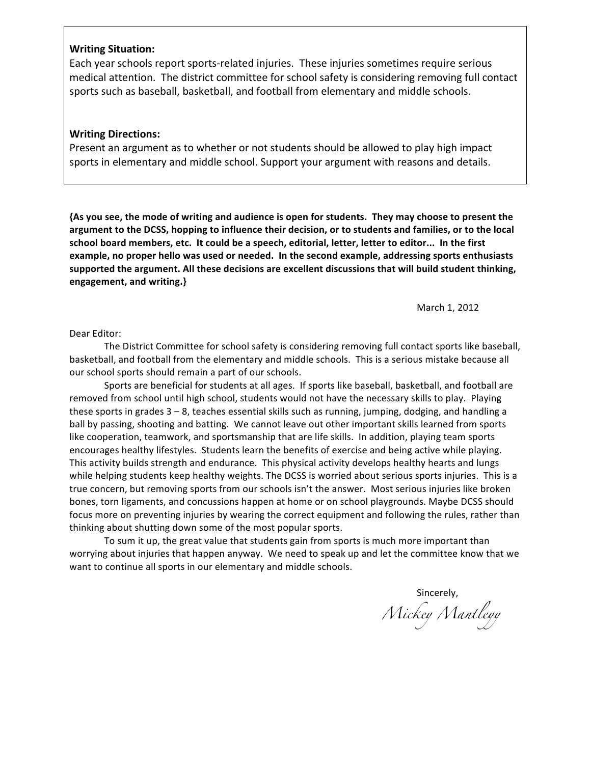## **Writing Situation:**

Each year schools report sports-related injuries. These injuries sometimes require serious medical attention. The district committee for school safety is considering removing full contact sports such as baseball, basketball, and football from elementary and middle schools.

## **Writing Directions:**

Present an argument as to whether or not students should be allowed to play high impact sports in elementary and middle school. Support your argument with reasons and details.

{As you see, the mode of writing and audience is open for students. They may choose to present the argument to the DCSS, hopping to influence their decision, or to students and families, or to the local school board members, etc. It could be a speech, editorial, letter, letter to editor... In the first example, no proper hello was used or needed. In the second example, addressing sports enthusiasts supported the argument. All these decisions are excellent discussions that will build student thinking, **engagement,!and writing.}**

March 1, 2012

Dear Editor:

The District Committee for school safety is considering removing full contact sports like baseball, basketball, and football from the elementary and middle schools. This is a serious mistake because all our school sports should remain a part of our schools.

Sports are beneficial for students at all ages. If sports like baseball, basketball, and football are removed from school until high school, students would not have the necessary skills to play. Playing these sports in grades  $3 - 8$ , teaches essential skills such as running, jumping, dodging, and handling a ball by passing, shooting and batting. We cannot leave out other important skills learned from sports like cooperation, teamwork, and sportsmanship that are life skills. In addition, playing team sports encourages healthy lifestyles. Students learn the benefits of exercise and being active while playing. This activity builds strength and endurance. This physical activity develops healthy hearts and lungs while helping students keep healthy weights. The DCSS is worried about serious sports injuries. This is a true concern, but removing sports from our schools isn't the answer. Most serious injuries like broken bones, torn ligaments, and concussions happen at home or on school playgrounds. Maybe DCSS should focus more on preventing injuries by wearing the correct equipment and following the rules, rather than thinking about shutting down some of the most popular sports.

To sum it up, the great value that students gain from sports is much more important than worrying about injuries that happen anyway. We need to speak up and let the committee know that we want to continue all sports in our elementary and middle schools.

> Sincerely, *Mickey Mantleyy*